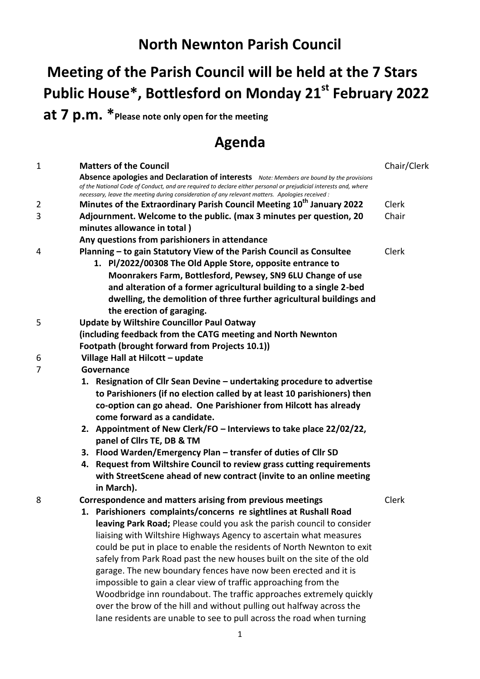## **North Newnton Parish Council**

## **Meeting of the Parish Council will be held at the 7 Stars Public House\*, Bottlesford on Monday 21st February 2022**

**at 7 p.m. \*Please note only open for the meeting**

## **Agenda**

| 1 | <b>Matters of the Council</b>                                                                                                                                                                                                                                                                                   | Chair/Clerk |
|---|-----------------------------------------------------------------------------------------------------------------------------------------------------------------------------------------------------------------------------------------------------------------------------------------------------------------|-------------|
|   | Absence apologies and Declaration of interests Note: Members are bound by the provisions<br>of the National Code of Conduct, and are required to declare either personal or prejudicial interests and, where<br>necessary, leave the meeting during consideration of any relevant matters. Apologies received : |             |
| 2 | Minutes of the Extraordinary Parish Council Meeting 10 <sup>th</sup> January 2022                                                                                                                                                                                                                               | Clerk       |
| 3 | Adjournment. Welcome to the public. (max 3 minutes per question, 20                                                                                                                                                                                                                                             | Chair       |
|   | minutes allowance in total)                                                                                                                                                                                                                                                                                     |             |
|   | Any questions from parishioners in attendance                                                                                                                                                                                                                                                                   |             |
| 4 | Planning - to gain Statutory View of the Parish Council as Consultee                                                                                                                                                                                                                                            | Clerk       |
|   | 1. Pl/2022/00308 The Old Apple Store, opposite entrance to                                                                                                                                                                                                                                                      |             |
|   | Moonrakers Farm, Bottlesford, Pewsey, SN9 6LU Change of use                                                                                                                                                                                                                                                     |             |
|   | and alteration of a former agricultural building to a single 2-bed                                                                                                                                                                                                                                              |             |
|   | dwelling, the demolition of three further agricultural buildings and                                                                                                                                                                                                                                            |             |
|   | the erection of garaging.                                                                                                                                                                                                                                                                                       |             |
| 5 | <b>Update by Wiltshire Councillor Paul Oatway</b>                                                                                                                                                                                                                                                               |             |
|   | (including feedback from the CATG meeting and North Newnton                                                                                                                                                                                                                                                     |             |
|   | Footpath (brought forward from Projects 10.1))                                                                                                                                                                                                                                                                  |             |
| 6 | Village Hall at Hilcott - update                                                                                                                                                                                                                                                                                |             |
| 7 | Governance                                                                                                                                                                                                                                                                                                      |             |
|   | 1. Resignation of Cllr Sean Devine - undertaking procedure to advertise                                                                                                                                                                                                                                         |             |
|   | to Parishioners (if no election called by at least 10 parishioners) then                                                                                                                                                                                                                                        |             |
|   | co-option can go ahead. One Parishioner from Hilcott has already                                                                                                                                                                                                                                                |             |
|   | come forward as a candidate.                                                                                                                                                                                                                                                                                    |             |
|   | 2. Appointment of New Clerk/FO - Interviews to take place 22/02/22,                                                                                                                                                                                                                                             |             |
|   | panel of Cllrs TE, DB & TM                                                                                                                                                                                                                                                                                      |             |
|   | 3. Flood Warden/Emergency Plan - transfer of duties of Cllr SD                                                                                                                                                                                                                                                  |             |
|   | Request from Wiltshire Council to review grass cutting requirements<br>4.                                                                                                                                                                                                                                       |             |
|   | with StreetScene ahead of new contract (invite to an online meeting                                                                                                                                                                                                                                             |             |
|   | in March).                                                                                                                                                                                                                                                                                                      |             |
| 8 | Correspondence and matters arising from previous meetings                                                                                                                                                                                                                                                       | Clerk       |
|   | 1. Parishioners complaints/concerns re sightlines at Rushall Road                                                                                                                                                                                                                                               |             |
|   | leaving Park Road; Please could you ask the parish council to consider                                                                                                                                                                                                                                          |             |
|   | liaising with Wiltshire Highways Agency to ascertain what measures                                                                                                                                                                                                                                              |             |
|   | could be put in place to enable the residents of North Newnton to exit                                                                                                                                                                                                                                          |             |
|   | safely from Park Road past the new houses built on the site of the old                                                                                                                                                                                                                                          |             |
|   | garage. The new boundary fences have now been erected and it is                                                                                                                                                                                                                                                 |             |
|   | impossible to gain a clear view of traffic approaching from the                                                                                                                                                                                                                                                 |             |
|   | Woodbridge inn roundabout. The traffic approaches extremely quickly                                                                                                                                                                                                                                             |             |
|   | over the brow of the hill and without pulling out halfway across the                                                                                                                                                                                                                                            |             |
|   | lane residents are unable to see to pull across the road when turning                                                                                                                                                                                                                                           |             |
|   |                                                                                                                                                                                                                                                                                                                 |             |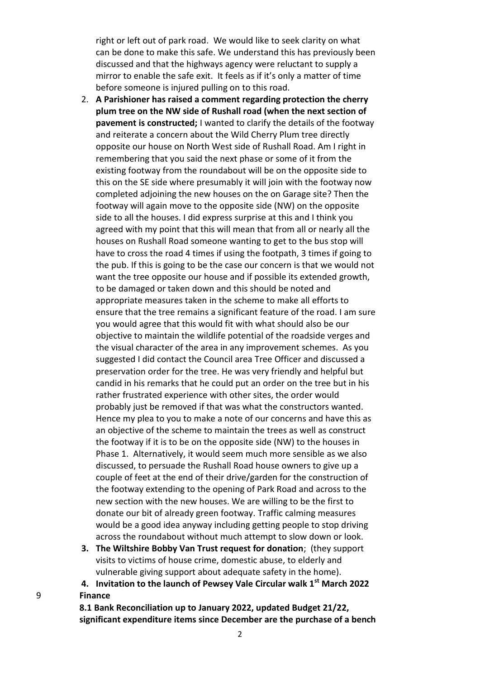right or left out of park road. We would like to seek clarity on what can be done to make this safe. We understand this has previously been discussed and that the highways agency were reluctant to supply a mirror to enable the safe exit. It feels as if it's only a matter of time before someone is injured pulling on to this road.

- 2. **A Parishioner has raised a comment regarding protection the cherry plum tree on the NW side of Rushall road (when the next section of pavement is constructed;** I wanted to clarify the details of the footway and reiterate a concern about the Wild Cherry Plum tree directly opposite our house on North West side of Rushall Road. Am I right in remembering that you said the next phase or some of it from the existing footway from the roundabout will be on the opposite side to this on the SE side where presumably it will join with the footway now completed adjoining the new houses on the on Garage site? Then the footway will again move to the opposite side (NW) on the opposite side to all the houses. I did express surprise at this and I think you agreed with my point that this will mean that from all or nearly all the houses on Rushall Road someone wanting to get to the bus stop will have to cross the road 4 times if using the footpath, 3 times if going to the pub. If this is going to be the case our concern is that we would not want the tree opposite our house and if possible its extended growth, to be damaged or taken down and this should be noted and appropriate measures taken in the scheme to make all efforts to ensure that the tree remains a significant feature of the road. I am sure you would agree that this would fit with what should also be our objective to maintain the wildlife potential of the roadside verges and the visual character of the area in any improvement schemes. As you suggested I did contact the Council area Tree Officer and discussed a preservation order for the tree. He was very friendly and helpful but candid in his remarks that he could put an order on the tree but in his rather frustrated experience with other sites, the order would probably just be removed if that was what the constructors wanted. Hence my plea to you to make a note of our concerns and have this as an objective of the scheme to maintain the trees as well as construct the footway if it is to be on the opposite side (NW) to the houses in Phase 1. Alternatively, it would seem much more sensible as we also discussed, to persuade the Rushall Road house owners to give up a couple of feet at the end of their drive/garden for the construction of the footway extending to the opening of Park Road and across to the new section with the new houses. We are willing to be the first to donate our bit of already green footway. Traffic calming measures would be a good idea anyway including getting people to stop driving across the roundabout without much attempt to slow down or look.
- **3. The Wiltshire Bobby Van Trust request for donation**; (they support visits to victims of house crime, domestic abuse, to elderly and vulnerable giving support about adequate safety in the home).

**4. Invitation to the launch of Pewsey Vale Circular walk 1st March 2022** 9 **Finance**

> **8.1 Bank Reconciliation up to January 2022, updated Budget 21/22, significant expenditure items since December are the purchase of a bench**